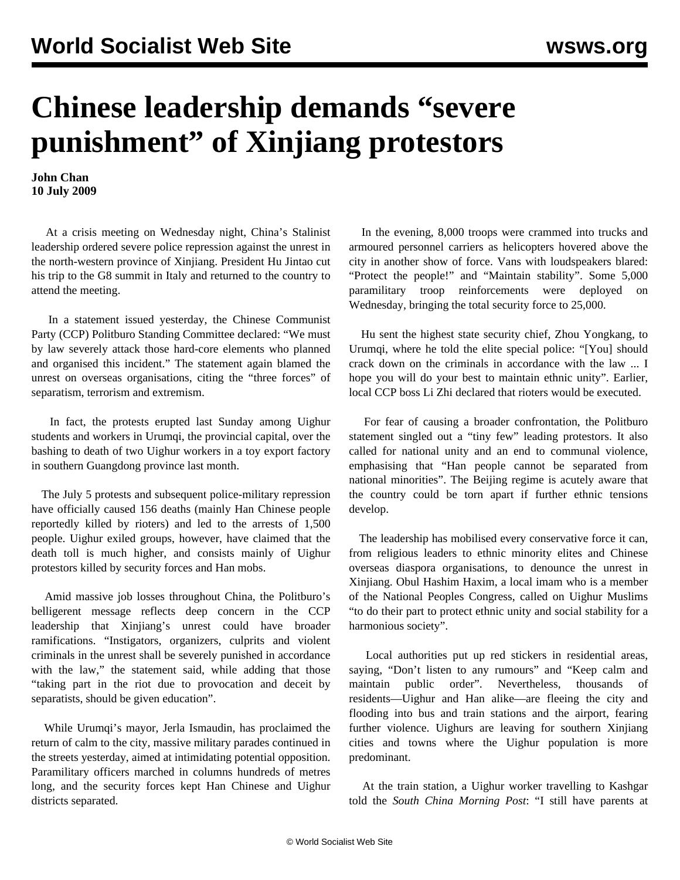## **Chinese leadership demands "severe punishment" of Xinjiang protestors**

**John Chan 10 July 2009**

 At a crisis meeting on Wednesday night, China's Stalinist leadership ordered severe police repression against the unrest in the north-western province of Xinjiang. President Hu Jintao cut his trip to the G8 summit in Italy and returned to the country to attend the meeting.

 In a statement issued yesterday, the Chinese Communist Party (CCP) Politburo Standing Committee declared: "We must by law severely attack those hard-core elements who planned and organised this incident." The statement again blamed the unrest on overseas organisations, citing the "three forces" of separatism, terrorism and extremism.

 In fact, the protests erupted last Sunday among Uighur students and workers in Urumqi, the provincial capital, over the bashing to death of two Uighur workers in a toy export factory in southern Guangdong province last month.

 The July 5 protests and subsequent police-military repression have officially caused 156 deaths (mainly Han Chinese people reportedly killed by rioters) and led to the arrests of 1,500 people. Uighur exiled groups, however, have claimed that the death toll is much higher, and consists mainly of Uighur protestors killed by security forces and Han mobs.

 Amid massive job losses throughout China, the Politburo's belligerent message reflects deep concern in the CCP leadership that Xinjiang's unrest could have broader ramifications. "Instigators, organizers, culprits and violent criminals in the unrest shall be severely punished in accordance with the law," the statement said, while adding that those "taking part in the riot due to provocation and deceit by separatists, should be given education".

 While Urumqi's mayor, Jerla Ismaudin, has proclaimed the return of calm to the city, massive military parades continued in the streets yesterday, aimed at intimidating potential opposition. Paramilitary officers marched in columns hundreds of metres long, and the security forces kept Han Chinese and Uighur districts separated.

 In the evening, 8,000 troops were crammed into trucks and armoured personnel carriers as helicopters hovered above the city in another show of force. Vans with loudspeakers blared: "Protect the people!" and "Maintain stability". Some 5,000 paramilitary troop reinforcements were deployed on Wednesday, bringing the total security force to 25,000.

 Hu sent the highest state security chief, Zhou Yongkang, to Urumqi, where he told the elite special police: "[You] should crack down on the criminals in accordance with the law ... I hope you will do your best to maintain ethnic unity". Earlier, local CCP boss Li Zhi declared that rioters would be executed.

 For fear of causing a broader confrontation, the Politburo statement singled out a "tiny few" leading protestors. It also called for national unity and an end to communal violence, emphasising that "Han people cannot be separated from national minorities". The Beijing regime is acutely aware that the country could be torn apart if further ethnic tensions develop.

 The leadership has mobilised every conservative force it can, from religious leaders to ethnic minority elites and Chinese overseas diaspora organisations, to denounce the unrest in Xinjiang. Obul Hashim Haxim, a local imam who is a member of the National Peoples Congress, called on Uighur Muslims "to do their part to protect ethnic unity and social stability for a harmonious society".

 Local authorities put up red stickers in residential areas, saying, "Don't listen to any rumours" and "Keep calm and maintain public order". Nevertheless, thousands of residents—Uighur and Han alike—are fleeing the city and flooding into bus and train stations and the airport, fearing further violence. Uighurs are leaving for southern Xinjiang cities and towns where the Uighur population is more predominant.

 At the train station, a Uighur worker travelling to Kashgar told the *South China Morning Post*: "I still have parents at